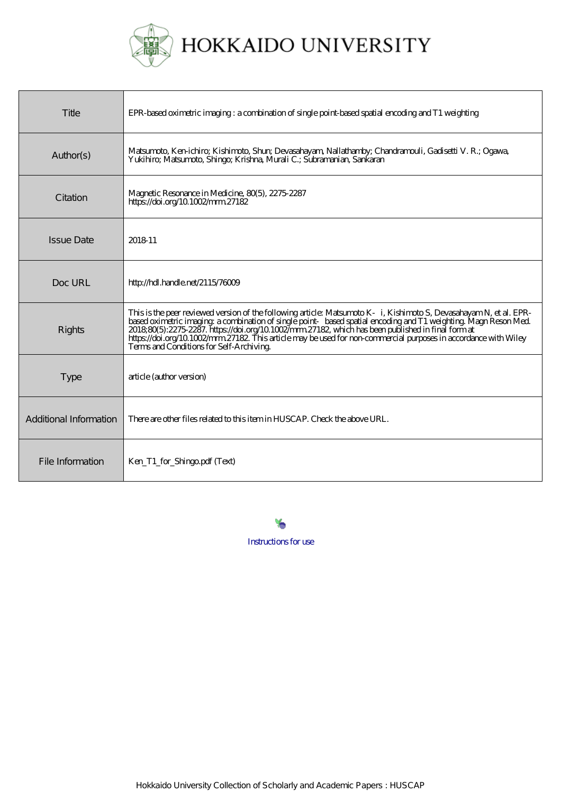

| Title                  | EPR-based oximetric imaging: a combination of single point-based spatial encoding and T1 weighting                                                                                                                                                                                                                                                                                                                                                                                                    |
|------------------------|-------------------------------------------------------------------------------------------------------------------------------------------------------------------------------------------------------------------------------------------------------------------------------------------------------------------------------------------------------------------------------------------------------------------------------------------------------------------------------------------------------|
| Author(s)              | Matsumoto, Ken-ichiro; Kishimoto, Shur; Devasahayam, Nallathamby; Chandramouli, Gadisetti V. R.; Ogawa,<br>Yukihiro; Matsumoto, Shingo; Krishna, Murali C.; Subramanian, Sankaran                                                                                                                                                                                                                                                                                                                     |
| Citation               | Magnetic Resonance in Medicine, 80(5), 2275-2287<br>https://doi.org/10.1002/mm27182                                                                                                                                                                                                                                                                                                                                                                                                                   |
| <b>Issue Date</b>      | 2018-11                                                                                                                                                                                                                                                                                                                                                                                                                                                                                               |
| Doc URL                | http://hdl.handle.net/2115/76009                                                                                                                                                                                                                                                                                                                                                                                                                                                                      |
| Rights                 | This is the peer reviewed version of the following article: Matsumoto K i, Kishimoto S, Devasahayam N, et al. EPR<br>based oximetric imaging; a combination of single point based spatial encoding and T1 weighting. Magn Reson Med<br>$201880(5:2275.2287.$ https://doi.org/10.1002/mm27182, which has been published in final form at<br>https://doi.org/10.1002/mm27182. This article may be used for non-commercial purposes in accordance with Wiley<br>Terms and Conditions for Self-Archiving. |
| <b>Type</b>            | article (author version)                                                                                                                                                                                                                                                                                                                                                                                                                                                                              |
| Additional Information | There are other files related to this item in HUSCAP. Check the above URL.                                                                                                                                                                                                                                                                                                                                                                                                                            |
| File Information       | Ken_T1_for_Shingo.pdf (Text)                                                                                                                                                                                                                                                                                                                                                                                                                                                                          |

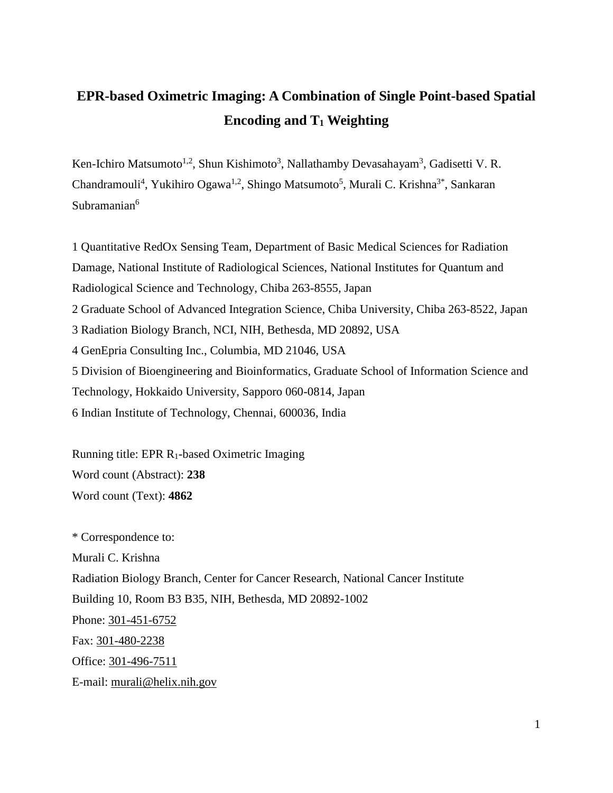# **EPR-based Oximetric Imaging: A Combination of Single Point-based Spatial Encoding and T1 Weighting**

Ken-Ichiro Matsumoto<sup>1,2</sup>, Shun Kishimoto<sup>3</sup>, Nallathamby Devasahayam<sup>3</sup>, Gadisetti V. R. Chandramouli<sup>4</sup>, Yukihiro Ogawa<sup>1,2</sup>, Shingo Matsumoto<sup>5</sup>, Murali C. Krishna<sup>3\*</sup>, Sankaran Subramanian<sup>6</sup>

1 Quantitative RedOx Sensing Team, Department of Basic Medical Sciences for Radiation Damage, National Institute of Radiological Sciences, National Institutes for Quantum and Radiological Science and Technology, Chiba 263-8555, Japan 2 Graduate School of Advanced Integration Science, Chiba University, Chiba 263-8522, Japan 3 Radiation Biology Branch, NCI, NIH, Bethesda, MD 20892, USA 4 GenEpria Consulting Inc., Columbia, MD 21046, USA 5 Division of Bioengineering and Bioinformatics, Graduate School of Information Science and Technology, Hokkaido University, Sapporo 060-0814, Japan 6 Indian Institute of Technology, Chennai, 600036, India

Running title: EPR R1-based Oximetric Imaging Word count (Abstract): **238** Word count (Text): **4862**

\* Correspondence to: Murali C. Krishna Radiation Biology Branch, Center for Cancer Research, National Cancer Institute Building 10, Room B3 B35, NIH, Bethesda, MD 20892-1002 Phone: [301-451-6752](tel:%28301%29%20451-6752) Fax: [301-480-2238](tel:%28301%29%20480-2238) Office: [301-496-7511](tel:%28301%29%20496-7511) E-mail: [murali@helix.nih.gov](mailto:murali@helix.nih.gov)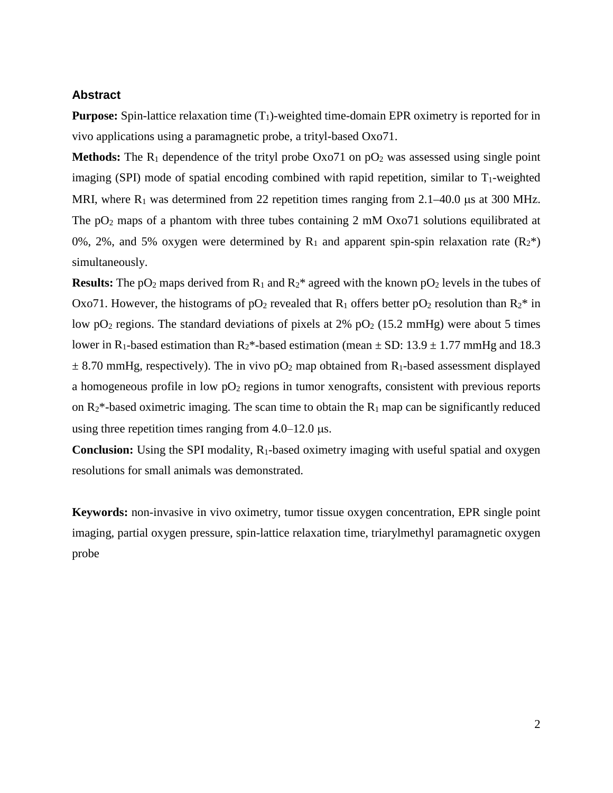#### **Abstract**

**Purpose:** Spin-lattice relaxation time  $(T_1)$ -weighted time-domain EPR oximetry is reported for in vivo applications using a paramagnetic probe, a trityl-based Oxo71.

**Methods:** The  $R_1$  dependence of the trityl probe  $OxO71$  on  $pO_2$  was assessed using single point imaging (SPI) mode of spatial encoding combined with rapid repetition, similar to  $T_1$ -weighted MRI, where  $R_1$  was determined from 22 repetition times ranging from 2.1–40.0 µs at 300 MHz. The  $pO_2$  maps of a phantom with three tubes containing 2 mM Oxo71 solutions equilibrated at 0%, 2%, and 5% oxygen were determined by  $R_1$  and apparent spin-spin relaxation rate  $(R_2^*)$ simultaneously.

**Results:** The  $pO_2$  maps derived from  $R_1$  and  $R_2$ <sup>\*</sup> agreed with the known  $pO_2$  levels in the tubes of Oxo71. However, the histograms of  $pO_2$  revealed that  $R_1$  offers better  $pO_2$  resolution than  $R_2^*$  in low  $pO_2$  regions. The standard deviations of pixels at 2%  $pO_2$  (15.2 mmHg) were about 5 times lower in R<sub>1</sub>-based estimation than R<sub>2</sub>\*-based estimation (mean  $\pm$  SD: 13.9  $\pm$  1.77 mmHg and 18.3  $\pm$  8.70 mmHg, respectively). The in vivo pO<sub>2</sub> map obtained from R<sub>1</sub>-based assessment displayed a homogeneous profile in low  $pO<sub>2</sub>$  regions in tumor xenografts, consistent with previous reports on  $R_2^*$ -based oximetric imaging. The scan time to obtain the  $R_1$  map can be significantly reduced using three repetition times ranging from  $4.0-12.0 \text{ }\mu\text{s}$ .

**Conclusion:** Using the SPI modality, R<sub>1</sub>-based oximetry imaging with useful spatial and oxygen resolutions for small animals was demonstrated.

**Keywords:** non-invasive in vivo oximetry, tumor tissue oxygen concentration, EPR single point imaging, partial oxygen pressure, spin-lattice relaxation time, triarylmethyl paramagnetic oxygen probe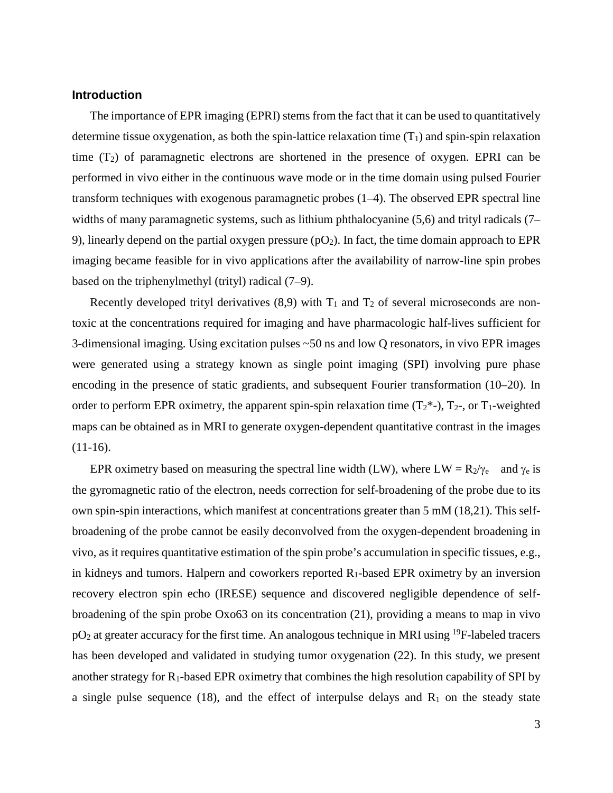## **Introduction**

The importance of EPR imaging (EPRI) stems from the fact that it can be used to quantitatively determine tissue oxygenation, as both the spin-lattice relaxation time  $(T_1)$  and spin-spin relaxation time  $(T_2)$  of paramagnetic electrons are shortened in the presence of oxygen. EPRI can be performed in vivo either in the continuous wave mode or in the time domain using pulsed Fourier transform techniques with exogenous paramagnetic probes (1–4). The observed EPR spectral line widths of many paramagnetic systems, such as lithium phthalocyanine (5,6) and trityl radicals (7– 9), linearly depend on the partial oxygen pressure ( $pO<sub>2</sub>$ ). In fact, the time domain approach to EPR imaging became feasible for in vivo applications after the availability of narrow-line spin probes based on the triphenylmethyl (trityl) radical (7–9).

Recently developed trityl derivatives  $(8,9)$  with  $T_1$  and  $T_2$  of several microseconds are nontoxic at the concentrations required for imaging and have pharmacologic half-lives sufficient for 3-dimensional imaging. Using excitation pulses ~50 ns and low Q resonators, in vivo EPR images were generated using a strategy known as single point imaging (SPI) involving pure phase encoding in the presence of static gradients, and subsequent Fourier transformation (10–20). In order to perform EPR oximetry, the apparent spin-spin relaxation time  $(T_2^*$ -),  $T_2$ -, or  $T_1$ -weighted maps can be obtained as in MRI to generate oxygen-dependent quantitative contrast in the images (11-16).

EPR oximetry based on measuring the spectral line width (LW), where  $LW = R_2/\gamma_e$  and  $\gamma_e$  is the gyromagnetic ratio of the electron, needs correction for self-broadening of the probe due to its own spin-spin interactions, which manifest at concentrations greater than 5 mM (18,21). This selfbroadening of the probe cannot be easily deconvolved from the oxygen-dependent broadening in vivo, as it requires quantitative estimation of the spin probe's accumulation in specific tissues, e.g., in kidneys and tumors. Halpern and coworkers reported  $R_1$ -based EPR oximetry by an inversion recovery electron spin echo (IRESE) sequence and discovered negligible dependence of selfbroadening of the spin probe Oxo63 on its concentration (21), providing a means to map in vivo  $pO<sub>2</sub>$  at greater accuracy for the first time. An analogous technique in MRI using <sup>19</sup>F-labeled tracers has been developed and validated in studying tumor oxygenation (22). In this study, we present another strategy for R1-based EPR oximetry that combines the high resolution capability of SPI by a single pulse sequence (18), and the effect of interpulse delays and  $R_1$  on the steady state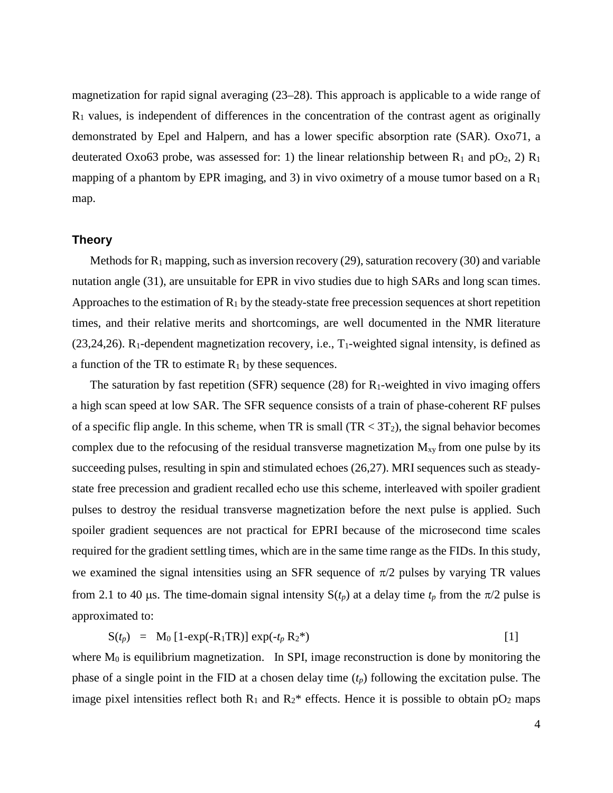magnetization for rapid signal averaging (23–28). This approach is applicable to a wide range of  $R_1$  values, is independent of differences in the concentration of the contrast agent as originally demonstrated by Epel and Halpern, and has a lower specific absorption rate (SAR). Oxo71, a deuterated Oxo63 probe, was assessed for: 1) the linear relationship between  $R_1$  and  $pO_2$ , 2)  $R_1$ mapping of a phantom by EPR imaging, and 3) in vivo oximetry of a mouse tumor based on a  $R_1$ map.

## **Theory**

Methods for  $R_1$  mapping, such as inversion recovery (29), saturation recovery (30) and variable nutation angle (31), are unsuitable for EPR in vivo studies due to high SARs and long scan times. Approaches to the estimation of  $R_1$  by the steady-state free precession sequences at short repetition times, and their relative merits and shortcomings, are well documented in the NMR literature  $(23,24,26)$ . R<sub>1</sub>-dependent magnetization recovery, i.e., T<sub>1</sub>-weighted signal intensity, is defined as a function of the TR to estimate  $R_1$  by these sequences.

The saturation by fast repetition (SFR) sequence (28) for  $R_1$ -weighted in vivo imaging offers a high scan speed at low SAR. The SFR sequence consists of a train of phase-coherent RF pulses of a specific flip angle. In this scheme, when TR is small  $(TR < 3T_2)$ , the signal behavior becomes complex due to the refocusing of the residual transverse magnetization  $M_{xy}$  from one pulse by its succeeding pulses, resulting in spin and stimulated echoes (26,27). MRI sequences such as steadystate free precession and gradient recalled echo use this scheme, interleaved with spoiler gradient pulses to destroy the residual transverse magnetization before the next pulse is applied. Such spoiler gradient sequences are not practical for EPRI because of the microsecond time scales required for the gradient settling times, which are in the same time range as the FIDs. In this study, we examined the signal intensities using an SFR sequence of  $\pi/2$  pulses by varying TR values from 2.1 to 40 µs. The time-domain signal intensity  $S(t_p)$  at a delay time  $t_p$  from the  $\pi/2$  pulse is approximated to:

 $S(t_p) = M_0 [1-exp(-R_1TR)] exp(-t_p R_2^*)$  [1]

where  $M_0$  is equilibrium magnetization. In SPI, image reconstruction is done by monitoring the phase of a single point in the FID at a chosen delay time  $(t_p)$  following the excitation pulse. The image pixel intensities reflect both  $R_1$  and  $R_2^*$  effects. Hence it is possible to obtain  $pO_2$  maps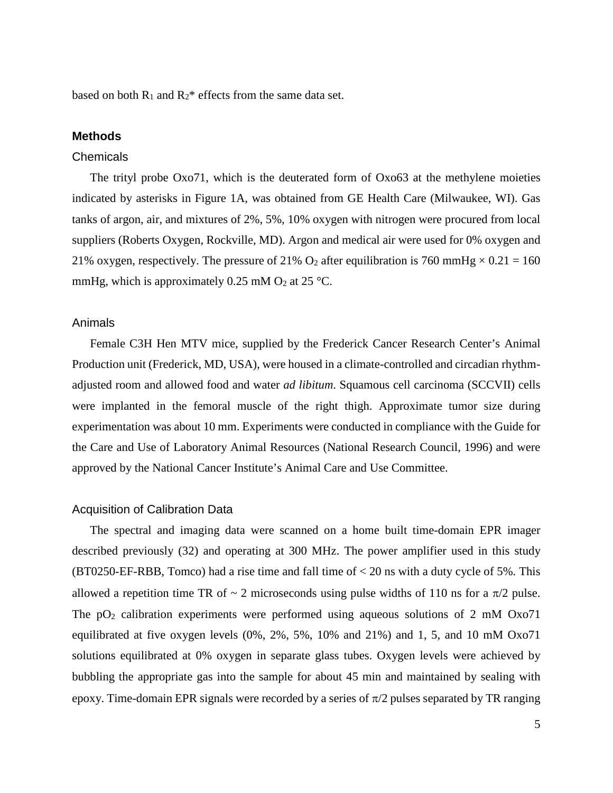based on both  $R_1$  and  $R_2^*$  effects from the same data set.

# **Methods**

#### **Chemicals**

The trityl probe Oxo71, which is the deuterated form of Oxo63 at the methylene moieties indicated by asterisks in Figure 1A, was obtained from GE Health Care (Milwaukee, WI). Gas tanks of argon, air, and mixtures of 2%, 5%, 10% oxygen with nitrogen were procured from local suppliers (Roberts Oxygen, Rockville, MD). Argon and medical air were used for 0% oxygen and 21% oxygen, respectively. The pressure of 21% O<sub>2</sub> after equilibration is 760 mmHg  $\times$  0.21 = 160 mmHg, which is approximately 0.25 mM  $O_2$  at 25 °C.

#### Animals

Female C3H Hen MTV mice, supplied by the Frederick Cancer Research Center's Animal Production unit (Frederick, MD, USA), were housed in a climate-controlled and circadian rhythmadjusted room and allowed food and water *ad libitum*. Squamous cell carcinoma (SCCVII) cells were implanted in the femoral muscle of the right thigh. Approximate tumor size during experimentation was about 10 mm. Experiments were conducted in compliance with the Guide for the Care and Use of Laboratory Animal Resources (National Research Council, 1996) and were approved by the National Cancer Institute's Animal Care and Use Committee.

## Acquisition of Calibration Data

The spectral and imaging data were scanned on a home built time-domain EPR imager described previously (32) and operating at 300 MHz. The power amplifier used in this study (BT0250-EF-RBB, Tomco) had a rise time and fall time of  $<$  20 ns with a duty cycle of 5%. This allowed a repetition time TR of  $\sim$  2 microseconds using pulse widths of 110 ns for a  $\pi/2$  pulse. The  $pO<sub>2</sub>$  calibration experiments were performed using aqueous solutions of 2 mM Oxo71 equilibrated at five oxygen levels (0%, 2%, 5%, 10% and 21%) and 1, 5, and 10 mM Oxo71 solutions equilibrated at 0% oxygen in separate glass tubes. Oxygen levels were achieved by bubbling the appropriate gas into the sample for about 45 min and maintained by sealing with epoxy. Time-domain EPR signals were recorded by a series of  $\pi/2$  pulses separated by TR ranging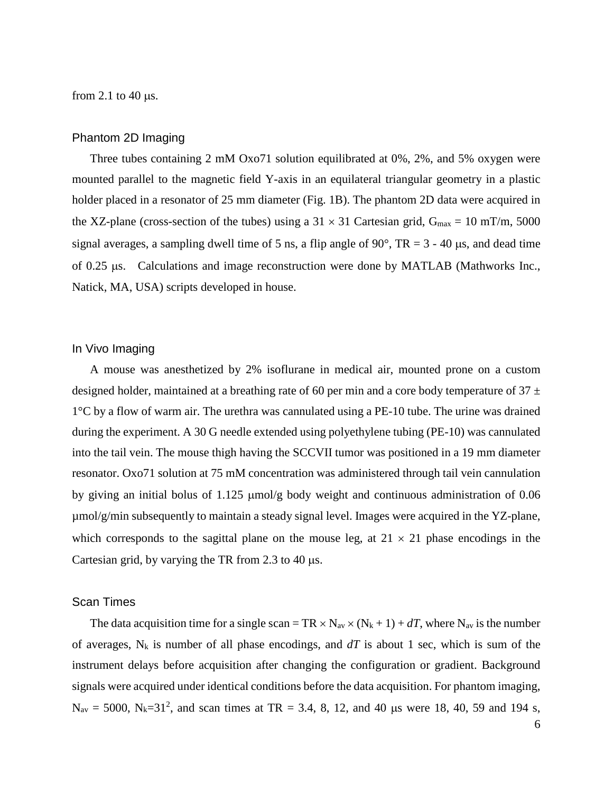from 2.1 to 40  $\mu$ s.

## Phantom 2D Imaging

Three tubes containing 2 mM Oxo71 solution equilibrated at 0%, 2%, and 5% oxygen were mounted parallel to the magnetic field Y-axis in an equilateral triangular geometry in a plastic holder placed in a resonator of 25 mm diameter (Fig. 1B). The phantom 2D data were acquired in the XZ-plane (cross-section of the tubes) using a  $31 \times 31$  Cartesian grid,  $G_{\text{max}} = 10$  mT/m, 5000 signal averages, a sampling dwell time of 5 ns, a flip angle of 90 $^{\circ}$ , TR = 3 - 40 µs, and dead time of 0.25 µs. Calculations and image reconstruction were done by MATLAB (Mathworks Inc., Natick, MA, USA) scripts developed in house.

## In Vivo Imaging

A mouse was anesthetized by 2% isoflurane in medical air, mounted prone on a custom designed holder, maintained at a breathing rate of 60 per min and a core body temperature of  $37 \pm$ 1°C by a flow of warm air. The urethra was cannulated using a PE-10 tube. The urine was drained during the experiment. A 30 G needle extended using polyethylene tubing (PE-10) was cannulated into the tail vein. The mouse thigh having the SCCVII tumor was positioned in a 19 mm diameter resonator. Oxo71 solution at 75 mM concentration was administered through tail vein cannulation by giving an initial bolus of 1.125 µmol/g body weight and continuous administration of 0.06 µmol/g/min subsequently to maintain a steady signal level. Images were acquired in the YZ-plane, which corresponds to the sagittal plane on the mouse leg, at  $21 \times 21$  phase encodings in the Cartesian grid, by varying the TR from 2.3 to 40  $\mu$ s.

## Scan Times

The data acquisition time for a single scan = TR  $\times$  N<sub>av</sub>  $\times$  (N<sub>k</sub> + 1) + *dT*, where N<sub>av</sub> is the number of averages,  $N_k$  is number of all phase encodings, and  $dT$  is about 1 sec, which is sum of the instrument delays before acquisition after changing the configuration or gradient. Background signals were acquired under identical conditions before the data acquisition. For phantom imaging,  $N_{av} = 5000$ ,  $N_k = 31^2$ , and scan times at TR = 3.4, 8, 12, and 40 µs were 18, 40, 59 and 194 s,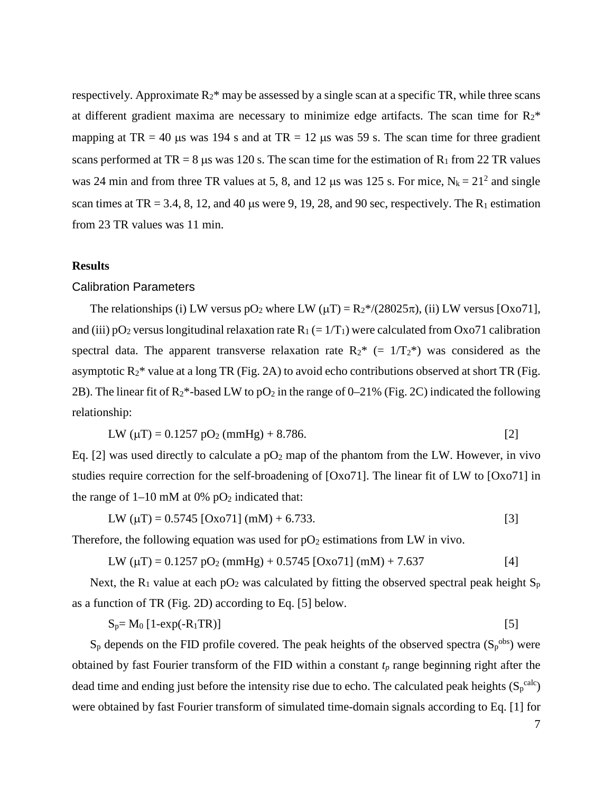respectively. Approximate  $R_2^*$  may be assessed by a single scan at a specific TR, while three scans at different gradient maxima are necessary to minimize edge artifacts. The scan time for  $R_2^*$ mapping at TR = 40 µs was 194 s and at TR = 12 µs was 59 s. The scan time for three gradient scans performed at TR = 8 µs was 120 s. The scan time for the estimation of  $R_1$  from 22 TR values was 24 min and from three TR values at 5, 8, and 12 µs was 125 s. For mice,  $N_k = 21^2$  and single scan times at TR = 3.4, 8, 12, and 40 us were 9, 19, 28, and 90 sec, respectively. The R<sub>1</sub> estimation from 23 TR values was 11 min.

## **Results**

## Calibration Parameters

The relationships (i) LW versus pO<sub>2</sub> where LW ( $\mu$ T) = R<sub>2</sub>\*/(28025 $\pi$ ), (ii) LW versus [Oxo71], and (iii)  $pO_2$  versus longitudinal relaxation rate  $R_1 (= 1/T_1)$  were calculated from Oxo71 calibration spectral data. The apparent transverse relaxation rate  $R_2^* (= 1/T_2^*)$  was considered as the asymptotic  $R_2^*$  value at a long TR (Fig. 2A) to avoid echo contributions observed at short TR (Fig. 2B). The linear fit of  $R_2^*$ -based LW to pO<sub>2</sub> in the range of 0–21% (Fig. 2C) indicated the following relationship:

$$
LW (\mu T) = 0.1257 \text{ pO}_2 (\text{mmHg}) + 8.786. \tag{2}
$$

Eq. [2] was used directly to calculate a  $pO_2$  map of the phantom from the LW. However, in vivo studies require correction for the self-broadening of [Oxo71]. The linear fit of LW to [Oxo71] in the range of  $1-10$  mM at 0% pO<sub>2</sub> indicated that:

$$
LW (\mu T) = 0.5745 [Oxo71] (mM) + 6.733.
$$
 [3]

Therefore, the following equation was used for  $pO_2$  estimations from LW in vivo.

$$
LW (\mu T) = 0.1257 \text{ pO}_2 (\text{mmHg}) + 0.5745 \text{ [Oxo71] (mM)} + 7.637 \tag{4}
$$

Next, the  $R_1$  value at each pO<sub>2</sub> was calculated by fitting the observed spectral peak height  $S_p$ as a function of TR (Fig. 2D) according to Eq. [5] below.

$$
S_p = M_0 \left[ 1 - \exp(-R_1 \text{TR}) \right] \tag{5}
$$

 $S_p$  depends on the FID profile covered. The peak heights of the observed spectra  $(S_p^{\text{obs}})$  were obtained by fast Fourier transform of the FID within a constant  $t_p$  range beginning right after the dead time and ending just before the intensity rise due to echo. The calculated peak heights  $(S_p^{\text{calc}})$ were obtained by fast Fourier transform of simulated time-domain signals according to Eq. [1] for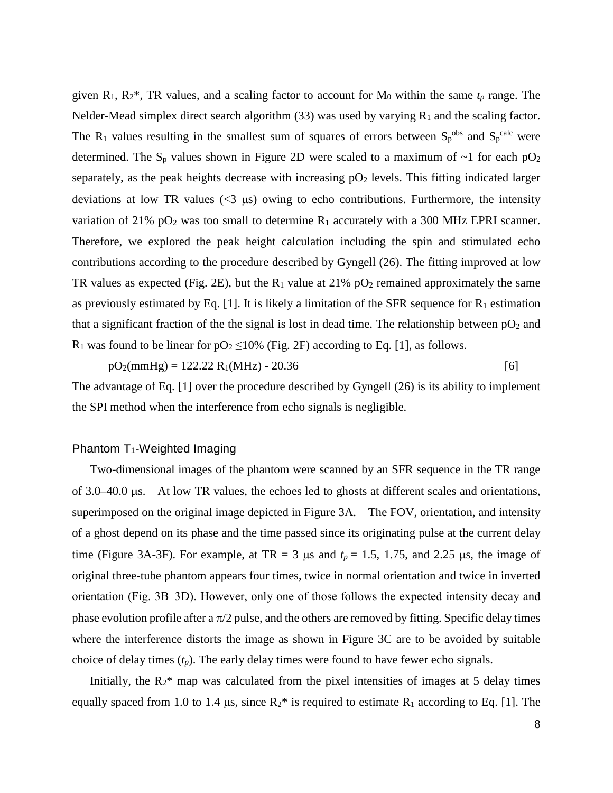given  $R_1$ ,  $R_2^*$ , TR values, and a scaling factor to account for  $M_0$  within the same  $t_p$  range. The Nelder-Mead simplex direct search algorithm (33) was used by varying  $R_1$  and the scaling factor. The R<sub>1</sub> values resulting in the smallest sum of squares of errors between  $S_p^{obs}$  and  $S_p^{calc}$  were determined. The S<sub>p</sub> values shown in Figure 2D were scaled to a maximum of  $\sim$ 1 for each pO<sub>2</sub> separately, as the peak heights decrease with increasing  $pO<sub>2</sub>$  levels. This fitting indicated larger deviations at low TR values  $\langle \langle 3 \rangle$  us) owing to echo contributions. Furthermore, the intensity variation of 21% pO<sub>2</sub> was too small to determine  $R_1$  accurately with a 300 MHz EPRI scanner. Therefore, we explored the peak height calculation including the spin and stimulated echo contributions according to the procedure described by Gyngell (26). The fitting improved at low TR values as expected (Fig. 2E), but the  $R_1$  value at 21% pO<sub>2</sub> remained approximately the same as previously estimated by Eq. [1]. It is likely a limitation of the SFR sequence for  $R_1$  estimation that a significant fraction of the the signal is lost in dead time. The relationship between  $pO_2$  and R<sub>1</sub> was found to be linear for  $pO_2 \le 10\%$  (Fig. 2F) according to Eq. [1], as follows.

 $pO_2$ (mmHg) = 122.22 R<sub>1</sub>(MHz) - 20.36 [6]

The advantage of Eq. [1] over the procedure described by Gyngell (26) is its ability to implement the SPI method when the interference from echo signals is negligible.

# Phantom T1-Weighted Imaging

Two-dimensional images of the phantom were scanned by an SFR sequence in the TR range of 3.0–40.0 µs. At low TR values, the echoes led to ghosts at different scales and orientations, superimposed on the original image depicted in Figure 3A. The FOV, orientation, and intensity of a ghost depend on its phase and the time passed since its originating pulse at the current delay time (Figure 3A-3F). For example, at TR = 3  $\mu$ s and  $t_p$  = 1.5, 1.75, and 2.25  $\mu$ s, the image of original three-tube phantom appears four times, twice in normal orientation and twice in inverted orientation (Fig. 3B‒3D). However, only one of those follows the expected intensity decay and phase evolution profile after a  $\pi/2$  pulse, and the others are removed by fitting. Specific delay times where the interference distorts the image as shown in Figure 3C are to be avoided by suitable choice of delay times (*tp*). The early delay times were found to have fewer echo signals.

Initially, the  $R_2$ <sup>\*</sup> map was calculated from the pixel intensities of images at 5 delay times equally spaced from 1.0 to 1.4  $\mu$ s, since  $R_2^*$  is required to estimate  $R_1$  according to Eq. [1]. The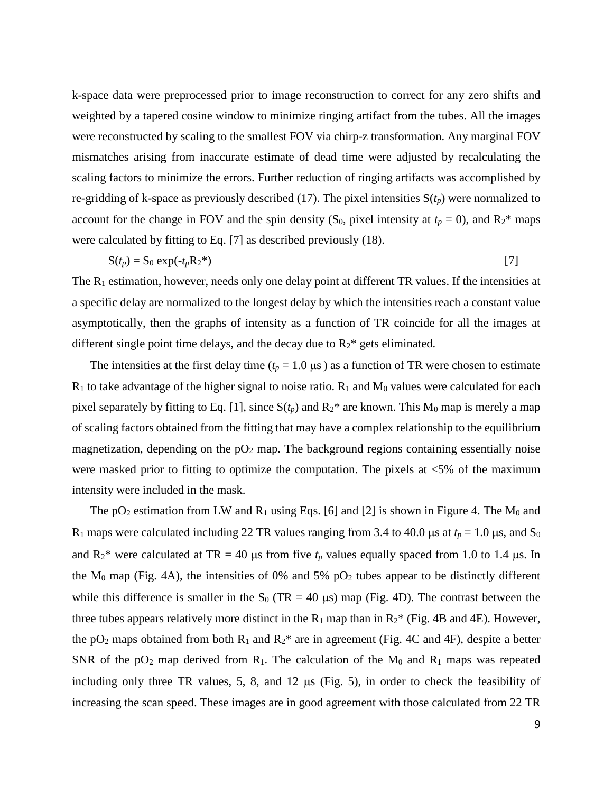k-space data were preprocessed prior to image reconstruction to correct for any zero shifts and weighted by a tapered cosine window to minimize ringing artifact from the tubes. All the images were reconstructed by scaling to the smallest FOV via chirp-z transformation. Any marginal FOV mismatches arising from inaccurate estimate of dead time were adjusted by recalculating the scaling factors to minimize the errors. Further reduction of ringing artifacts was accomplished by re-gridding of k-space as previously described (17). The pixel intensities  $S(t_p)$  were normalized to account for the change in FOV and the spin density (S<sub>0</sub>, pixel intensity at  $t_p = 0$ ), and  $R_2^*$  maps were calculated by fitting to Eq. [7] as described previously (18).

$$
S(t_p) = S_0 \exp(-t_p R_2^*)
$$

The  $R_1$  estimation, however, needs only one delay point at different TR values. If the intensities at a specific delay are normalized to the longest delay by which the intensities reach a constant value asymptotically, then the graphs of intensity as a function of TR coincide for all the images at different single point time delays, and the decay due to  $R_2$ <sup>\*</sup> gets eliminated.

The intensities at the first delay time ( $t_p = 1.0 \,\mu s$ ) as a function of TR were chosen to estimate  $R_1$  to take advantage of the higher signal to noise ratio.  $R_1$  and  $M_0$  values were calculated for each pixel separately by fitting to Eq. [1], since  $S(t_p)$  and  $R_2^*$  are known. This  $M_0$  map is merely a map of scaling factors obtained from the fitting that may have a complex relationship to the equilibrium magnetization, depending on the  $pO<sub>2</sub>$  map. The background regions containing essentially noise were masked prior to fitting to optimize the computation. The pixels at <5% of the maximum intensity were included in the mask.

The  $pO_2$  estimation from LW and  $R_1$  using Eqs. [6] and [2] is shown in Figure 4. The  $M_0$  and R<sub>1</sub> maps were calculated including 22 TR values ranging from 3.4 to 40.0 µs at  $t_p = 1.0$  µs, and S<sub>0</sub> and  $R_2^*$  were calculated at TR = 40 µs from five  $t_p$  values equally spaced from 1.0 to 1.4 µs. In the  $M_0$  map (Fig. 4A), the intensities of 0% and 5% pO<sub>2</sub> tubes appear to be distinctly different while this difference is smaller in the  $S_0$  (TR = 40 µs) map (Fig. 4D). The contrast between the three tubes appears relatively more distinct in the  $R_1$  map than in  $R_2^*$  (Fig. 4B and 4E). However, the pO<sub>2</sub> maps obtained from both  $R_1$  and  $R_2^*$  are in agreement (Fig. 4C and 4F), despite a better SNR of the  $pO_2$  map derived from R<sub>1</sub>. The calculation of the M<sub>0</sub> and R<sub>1</sub> maps was repeated including only three TR values, 5, 8, and 12 µs (Fig. 5), in order to check the feasibility of increasing the scan speed. These images are in good agreement with those calculated from 22 TR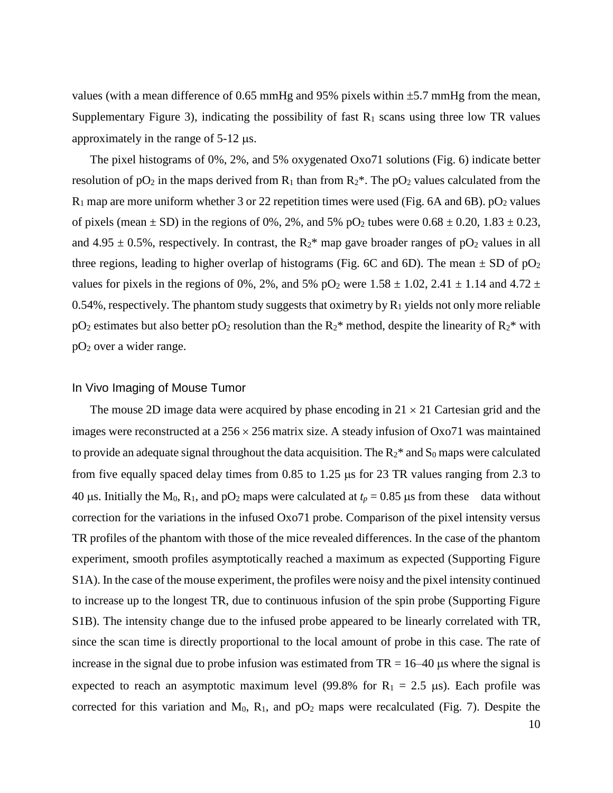values (with a mean difference of 0.65 mmHg and 95% pixels within ±5.7 mmHg from the mean, Supplementary Figure 3), indicating the possibility of fast  $R_1$  scans using three low TR values approximately in the range of 5-12 µs.

The pixel histograms of 0%, 2%, and 5% oxygenated Oxo71 solutions (Fig. 6) indicate better resolution of  $pO_2$  in the maps derived from  $R_1$  than from  $R_2^*$ . The  $pO_2$  values calculated from the  $R_1$  map are more uniform whether 3 or 22 repetition times were used (Fig. 6A and 6B).  $pO_2$  values of pixels (mean  $\pm$  SD) in the regions of 0%, 2%, and 5% pO<sub>2</sub> tubes were  $0.68 \pm 0.20$ ,  $1.83 \pm 0.23$ , and 4.95  $\pm$  0.5%, respectively. In contrast, the R<sub>2</sub>\* map gave broader ranges of pO<sub>2</sub> values in all three regions, leading to higher overlap of histograms (Fig. 6C and 6D). The mean  $\pm$  SD of pO<sub>2</sub> values for pixels in the regions of 0%, 2%, and 5% pO<sub>2</sub> were  $1.58 \pm 1.02$ , 2.41  $\pm$  1.14 and 4.72  $\pm$ 0.54%, respectively. The phantom study suggests that oximetry by  $R_1$  yields not only more reliable  $pO_2$  estimates but also better  $pO_2$  resolution than the  $R_2^*$  method, despite the linearity of  $R_2^*$  with pO2 over a wider range.

#### In Vivo Imaging of Mouse Tumor

The mouse 2D image data were acquired by phase encoding in  $21 \times 21$  Cartesian grid and the images were reconstructed at a  $256 \times 256$  matrix size. A steady infusion of Oxo71 was maintained to provide an adequate signal throughout the data acquisition. The  $R_2^*$  and  $S_0$  maps were calculated from five equally spaced delay times from 0.85 to 1.25 µs for 23 TR values ranging from 2.3 to 40 us. Initially the M<sub>0</sub>, R<sub>1</sub>, and pO<sub>2</sub> maps were calculated at  $t_p = 0.85$  us from these data without correction for the variations in the infused Oxo71 probe. Comparison of the pixel intensity versus TR profiles of the phantom with those of the mice revealed differences. In the case of the phantom experiment, smooth profiles asymptotically reached a maximum as expected (Supporting Figure S1A). In the case of the mouse experiment, the profiles were noisy and the pixel intensity continued to increase up to the longest TR, due to continuous infusion of the spin probe (Supporting Figure S1B). The intensity change due to the infused probe appeared to be linearly correlated with TR, since the scan time is directly proportional to the local amount of probe in this case. The rate of increase in the signal due to probe infusion was estimated from  $TR = 16-40$  µs where the signal is expected to reach an asymptotic maximum level (99.8% for  $R_1 = 2.5 \mu s$ ). Each profile was corrected for this variation and  $M_0$ ,  $R_1$ , and  $pO_2$  maps were recalculated (Fig. 7). Despite the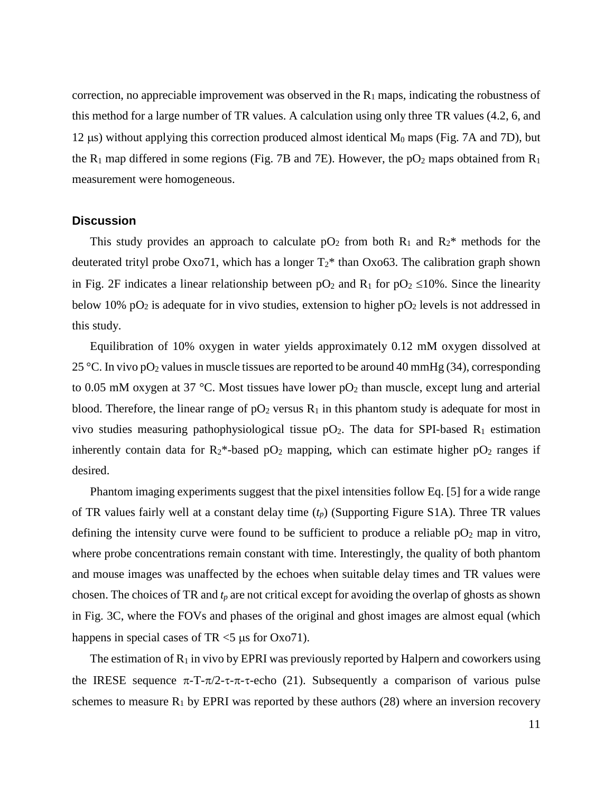correction, no appreciable improvement was observed in the  $R_1$  maps, indicating the robustness of this method for a large number of TR values. A calculation using only three TR values (4.2, 6, and 12  $\mu$ s) without applying this correction produced almost identical  $M_0$  maps (Fig. 7A and 7D), but the  $R_1$  map differed in some regions (Fig. 7B and 7E). However, the  $pO_2$  maps obtained from  $R_1$ measurement were homogeneous.

# **Discussion**

This study provides an approach to calculate  $pO_2$  from both  $R_1$  and  $R_2^*$  methods for the deuterated trityl probe Oxo71, which has a longer  $T_2^*$  than Oxo63. The calibration graph shown in Fig. 2F indicates a linear relationship between  $pO_2$  and R<sub>1</sub> for  $pO_2 \le 10\%$ . Since the linearity below 10% pO<sub>2</sub> is adequate for in vivo studies, extension to higher pO<sub>2</sub> levels is not addressed in this study.

Equilibration of 10% oxygen in water yields approximately 0.12 mM oxygen dissolved at 25 °C. In vivo pO<sub>2</sub> values in muscle tissues are reported to be around 40 mmHg (34), corresponding to 0.05 mM oxygen at 37 °C. Most tissues have lower  $pO_2$  than muscle, except lung and arterial blood. Therefore, the linear range of  $pO_2$  versus  $R_1$  in this phantom study is adequate for most in vivo studies measuring pathophysiological tissue  $pO_2$ . The data for SPI-based R<sub>1</sub> estimation inherently contain data for  $R_2^*$ -based pO<sub>2</sub> mapping, which can estimate higher pO<sub>2</sub> ranges if desired.

Phantom imaging experiments suggest that the pixel intensities follow Eq. [5] for a wide range of TR values fairly well at a constant delay time (*tp*) (Supporting Figure S1A). Three TR values defining the intensity curve were found to be sufficient to produce a reliable  $pO<sub>2</sub>$  map in vitro, where probe concentrations remain constant with time. Interestingly, the quality of both phantom and mouse images was unaffected by the echoes when suitable delay times and TR values were chosen. The choices of TR and *tp* are not critical except for avoiding the overlap of ghosts as shown in Fig. 3C, where the FOVs and phases of the original and ghost images are almost equal (which happens in special cases of TR  $<$  5  $\mu$ s for Oxo71).

The estimation of  $R_1$  in vivo by EPRI was previously reported by Halpern and coworkers using the IRESE sequence  $\pi$ -T- $\pi/2$ - $\tau$ - $\pi$ - $\tau$ -echo (21). Subsequently a comparison of various pulse schemes to measure  $R_1$  by EPRI was reported by these authors (28) where an inversion recovery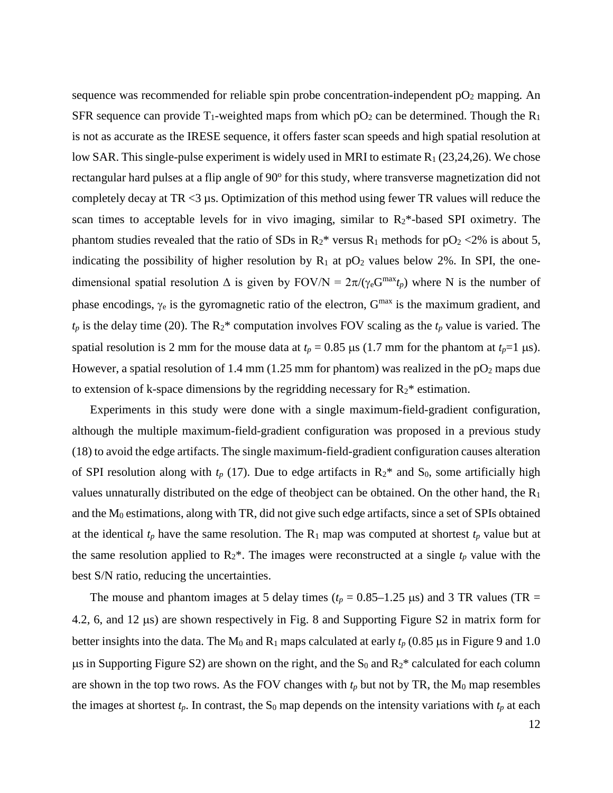sequence was recommended for reliable spin probe concentration-independent  $pO<sub>2</sub>$  mapping. An SFR sequence can provide  $T_1$ -weighted maps from which pO<sub>2</sub> can be determined. Though the R<sub>1</sub> is not as accurate as the IRESE sequence, it offers faster scan speeds and high spatial resolution at low SAR. This single-pulse experiment is widely used in MRI to estimate  $R_1$  (23,24,26). We chose rectangular hard pulses at a flip angle of 90° for this study, where transverse magnetization did not completely decay at  $TR < 3 \mu s$ . Optimization of this method using fewer TR values will reduce the scan times to acceptable levels for in vivo imaging, similar to  $R_2$ \*-based SPI oximetry. The phantom studies revealed that the ratio of SDs in  $R_2^*$  versus  $R_1$  methods for  $pO_2 < 2\%$  is about 5, indicating the possibility of higher resolution by  $R_1$  at pO<sub>2</sub> values below 2%. In SPI, the onedimensional spatial resolution  $\Delta$  is given by FOV/N =  $2\pi/(y_eG^{max}t_p)$  where N is the number of phase encodings,  $\gamma_e$  is the gyromagnetic ratio of the electron,  $G<sup>max</sup>$  is the maximum gradient, and  $t_p$  is the delay time (20). The  $R_2^*$  computation involves FOV scaling as the  $t_p$  value is varied. The spatial resolution is 2 mm for the mouse data at  $t_p = 0.85 \,\mu s$  (1.7 mm for the phantom at  $t_p=1 \,\mu s$ ). However, a spatial resolution of 1.4 mm (1.25 mm for phantom) was realized in the  $pO<sub>2</sub>$  maps due to extension of k-space dimensions by the regridding necessary for  $R_2^*$  estimation.

Experiments in this study were done with a single maximum-field-gradient configuration, although the multiple maximum-field-gradient configuration was proposed in a previous study (18) to avoid the edge artifacts. The single maximum-field-gradient configuration causes alteration of SPI resolution along with  $t_p$  (17). Due to edge artifacts in  $R_2^*$  and  $S_0$ , some artificially high values unnaturally distributed on the edge of theobject can be obtained. On the other hand, the R1 and the  $M_0$  estimations, along with TR, did not give such edge artifacts, since a set of SPIs obtained at the identical  $t_p$  have the same resolution. The  $R_1$  map was computed at shortest  $t_p$  value but at the same resolution applied to  $R_2^*$ . The images were reconstructed at a single  $t_p$  value with the best S/N ratio, reducing the uncertainties.

The mouse and phantom images at 5 delay times ( $t_p = 0.85-1.25 \text{ }\mu\text{s}$ ) and 3 TR values (TR = 4.2, 6, and 12 µs) are shown respectively in Fig. 8 and Supporting Figure S2 in matrix form for better insights into the data. The  $M_0$  and  $R_1$  maps calculated at early  $t_p$  (0.85  $\mu$ s in Figure 9 and 1.0  $\mu$ s in Supporting Figure S2) are shown on the right, and the S<sub>0</sub> and R<sub>2</sub>\* calculated for each column are shown in the top two rows. As the FOV changes with  $t_p$  but not by TR, the  $M_0$  map resembles the images at shortest  $t_p$ . In contrast, the  $S_0$  map depends on the intensity variations with  $t_p$  at each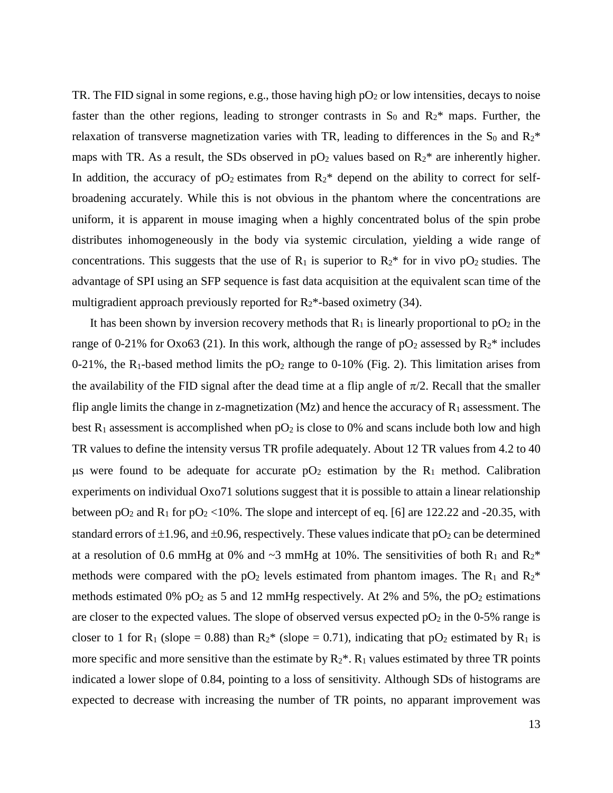TR. The FID signal in some regions, e.g., those having high  $pO<sub>2</sub>$  or low intensities, decays to noise faster than the other regions, leading to stronger contrasts in  $S_0$  and  $R_2^*$  maps. Further, the relaxation of transverse magnetization varies with TR, leading to differences in the  $S_0$  and  $R_2^*$ maps with TR. As a result, the SDs observed in  $pO<sub>2</sub>$  values based on  $R<sub>2</sub>$ \* are inherently higher. In addition, the accuracy of  $pO_2$  estimates from  $R_2^*$  depend on the ability to correct for selfbroadening accurately. While this is not obvious in the phantom where the concentrations are uniform, it is apparent in mouse imaging when a highly concentrated bolus of the spin probe distributes inhomogeneously in the body via systemic circulation, yielding a wide range of concentrations. This suggests that the use of  $R_1$  is superior to  $R_2^*$  for in vivo pO<sub>2</sub> studies. The advantage of SPI using an SFP sequence is fast data acquisition at the equivalent scan time of the multigradient approach previously reported for  $R_2^*$ -based oximetry (34).

It has been shown by inversion recovery methods that  $R_1$  is linearly proportional to  $pO_2$  in the range of 0-21% for Oxo63 (21). In this work, although the range of  $pO<sub>2</sub>$  assessed by  $R<sub>2</sub>$ <sup>\*</sup> includes 0-21%, the R<sub>1</sub>-based method limits the  $pO_2$  range to 0-10% (Fig. 2). This limitation arises from the availability of the FID signal after the dead time at a flip angle of  $\pi/2$ . Recall that the smaller flip angle limits the change in z-magnetization (Mz) and hence the accuracy of  $R_1$  assessment. The best  $R_1$  assessment is accomplished when  $pO_2$  is close to 0% and scans include both low and high TR values to define the intensity versus TR profile adequately. About 12 TR values from 4.2 to 40  $\mu$ s were found to be adequate for accurate pO<sub>2</sub> estimation by the R<sub>1</sub> method. Calibration experiments on individual Oxo71 solutions suggest that it is possible to attain a linear relationship between  $pO_2$  and  $R_1$  for  $pO_2$  <10%. The slope and intercept of eq. [6] are 122.22 and -20.35, with standard errors of  $\pm 1.96$ , and  $\pm 0.96$ , respectively. These values indicate that  $pO_2$  can be determined at a resolution of 0.6 mmHg at 0% and  $\sim$ 3 mmHg at 10%. The sensitivities of both R<sub>1</sub> and R<sub>2</sub>\* methods were compared with the  $pO_2$  levels estimated from phantom images. The R<sub>1</sub> and R<sub>2</sub>\* methods estimated 0%  $pO_2$  as 5 and 12 mmHg respectively. At 2% and 5%, the  $pO_2$  estimations are closer to the expected values. The slope of observed versus expected  $pO<sub>2</sub>$  in the 0-5% range is closer to 1 for R<sub>1</sub> (slope = 0.88) than R<sub>2</sub><sup>\*</sup> (slope = 0.71), indicating that pO<sub>2</sub> estimated by R<sub>1</sub> is more specific and more sensitive than the estimate by  $R_2^*$ .  $R_1$  values estimated by three TR points indicated a lower slope of 0.84, pointing to a loss of sensitivity. Although SDs of histograms are expected to decrease with increasing the number of TR points, no apparant improvement was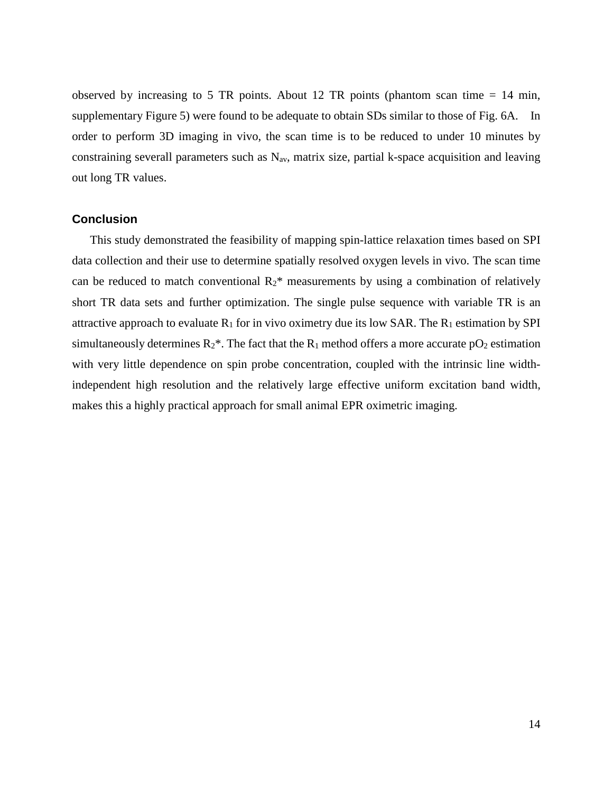observed by increasing to 5 TR points. About 12 TR points (phantom scan time  $= 14$  min, supplementary Figure 5) were found to be adequate to obtain SDs similar to those of Fig. 6A. In order to perform 3D imaging in vivo, the scan time is to be reduced to under 10 minutes by constraining severall parameters such as  $N_{av}$ , matrix size, partial k-space acquisition and leaving out long TR values.

# **Conclusion**

This study demonstrated the feasibility of mapping spin-lattice relaxation times based on SPI data collection and their use to determine spatially resolved oxygen levels in vivo. The scan time can be reduced to match conventional  $R_2^*$  measurements by using a combination of relatively short TR data sets and further optimization. The single pulse sequence with variable TR is an attractive approach to evaluate  $R_1$  for in vivo oximetry due its low SAR. The  $R_1$  estimation by SPI simultaneously determines  $R_2^*$ . The fact that the  $R_1$  method offers a more accurate pO<sub>2</sub> estimation with very little dependence on spin probe concentration, coupled with the intrinsic line widthindependent high resolution and the relatively large effective uniform excitation band width, makes this a highly practical approach for small animal EPR oximetric imaging.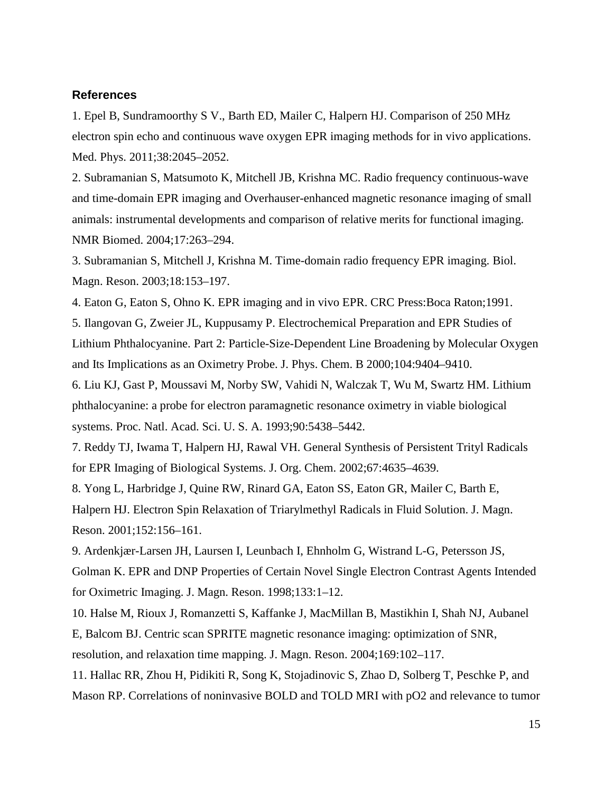### **References**

1. Epel B, Sundramoorthy S V., Barth ED, Mailer C, Halpern HJ. Comparison of 250 MHz electron spin echo and continuous wave oxygen EPR imaging methods for in vivo applications. Med. Phys. 2011;38:2045–2052.

2. Subramanian S, Matsumoto K, Mitchell JB, Krishna MC. Radio frequency continuous-wave and time-domain EPR imaging and Overhauser-enhanced magnetic resonance imaging of small animals: instrumental developments and comparison of relative merits for functional imaging. NMR Biomed. 2004;17:263–294.

3. Subramanian S, Mitchell J, Krishna M. Time-domain radio frequency EPR imaging. Biol. Magn. Reson. 2003;18:153–197.

4. Eaton G, Eaton S, Ohno K. EPR imaging and in vivo EPR. CRC Press:Boca Raton;1991.

5. Ilangovan G, Zweier JL, Kuppusamy P. Electrochemical Preparation and EPR Studies of Lithium Phthalocyanine. Part 2: Particle-Size-Dependent Line Broadening by Molecular Oxygen and Its Implications as an Oximetry Probe. J. Phys. Chem. B 2000;104:9404–9410.

6. Liu KJ, Gast P, Moussavi M, Norby SW, Vahidi N, Walczak T, Wu M, Swartz HM. Lithium phthalocyanine: a probe for electron paramagnetic resonance oximetry in viable biological systems. Proc. Natl. Acad. Sci. U. S. A. 1993;90:5438–5442.

7. Reddy TJ, Iwama T, Halpern HJ, Rawal VH. General Synthesis of Persistent Trityl Radicals for EPR Imaging of Biological Systems. J. Org. Chem. 2002;67:4635–4639.

8. Yong L, Harbridge J, Quine RW, Rinard GA, Eaton SS, Eaton GR, Mailer C, Barth E, Halpern HJ. Electron Spin Relaxation of Triarylmethyl Radicals in Fluid Solution. J. Magn. Reson. 2001;152:156–161.

9. Ardenkjær-Larsen JH, Laursen I, Leunbach I, Ehnholm G, Wistrand L-G, Petersson JS, Golman K. EPR and DNP Properties of Certain Novel Single Electron Contrast Agents Intended for Oximetric Imaging. J. Magn. Reson. 1998;133:1–12.

10. Halse M, Rioux J, Romanzetti S, Kaffanke J, MacMillan B, Mastikhin I, Shah NJ, Aubanel E, Balcom BJ. Centric scan SPRITE magnetic resonance imaging: optimization of SNR, resolution, and relaxation time mapping. J. Magn. Reson. 2004;169:102–117.

11. Hallac RR, Zhou H, Pidikiti R, Song K, Stojadinovic S, Zhao D, Solberg T, Peschke P, and Mason RP. Correlations of noninvasive BOLD and TOLD MRI with pO2 and relevance to tumor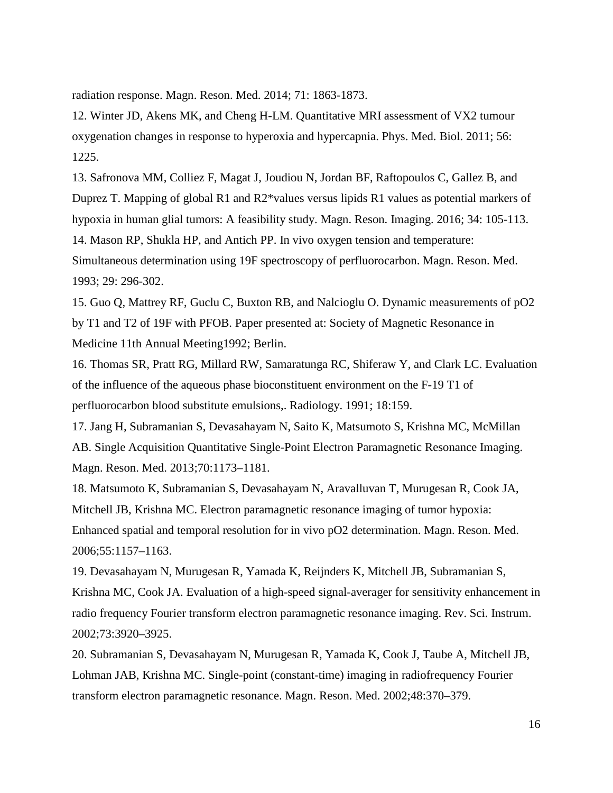radiation response. Magn. Reson. Med. 2014; 71: 1863-1873.

12. Winter JD, Akens MK, and Cheng H-LM. Quantitative MRI assessment of VX2 tumour oxygenation changes in response to hyperoxia and hypercapnia. Phys. Med. Biol. 2011; 56: 1225.

13. Safronova MM, Colliez F, Magat J, Joudiou N, Jordan BF, Raftopoulos C, Gallez B, and Duprez T. Mapping of global R1 and R2\*values versus lipids R1 values as potential markers of hypoxia in human glial tumors: A feasibility study. Magn. Reson. Imaging. 2016; 34: 105-113. 14. Mason RP, Shukla HP, and Antich PP. In vivo oxygen tension and temperature: Simultaneous determination using 19F spectroscopy of perfluorocarbon. Magn. Reson. Med. 1993; 29: 296-302.

15. Guo Q, Mattrey RF, Guclu C, Buxton RB, and Nalcioglu O. Dynamic measurements of pO2 by T1 and T2 of 19F with PFOB. Paper presented at: Society of Magnetic Resonance in Medicine 11th Annual Meeting1992; Berlin.

16. Thomas SR, Pratt RG, Millard RW, Samaratunga RC, Shiferaw Y, and Clark LC. Evaluation of the influence of the aqueous phase bioconstituent environment on the F-19 T1 of perfluorocarbon blood substitute emulsions,. Radiology. 1991; 18:159.

17. Jang H, Subramanian S, Devasahayam N, Saito K, Matsumoto S, Krishna MC, McMillan AB. Single Acquisition Quantitative Single-Point Electron Paramagnetic Resonance Imaging. Magn. Reson. Med. 2013;70:1173–1181.

18. Matsumoto K, Subramanian S, Devasahayam N, Aravalluvan T, Murugesan R, Cook JA, Mitchell JB, Krishna MC. Electron paramagnetic resonance imaging of tumor hypoxia: Enhanced spatial and temporal resolution for in vivo pO2 determination. Magn. Reson. Med. 2006;55:1157–1163.

19. Devasahayam N, Murugesan R, Yamada K, Reijnders K, Mitchell JB, Subramanian S, Krishna MC, Cook JA. Evaluation of a high-speed signal-averager for sensitivity enhancement in radio frequency Fourier transform electron paramagnetic resonance imaging. Rev. Sci. Instrum. 2002;73:3920–3925.

20. Subramanian S, Devasahayam N, Murugesan R, Yamada K, Cook J, Taube A, Mitchell JB, Lohman JAB, Krishna MC. Single-point (constant-time) imaging in radiofrequency Fourier transform electron paramagnetic resonance. Magn. Reson. Med. 2002;48:370–379.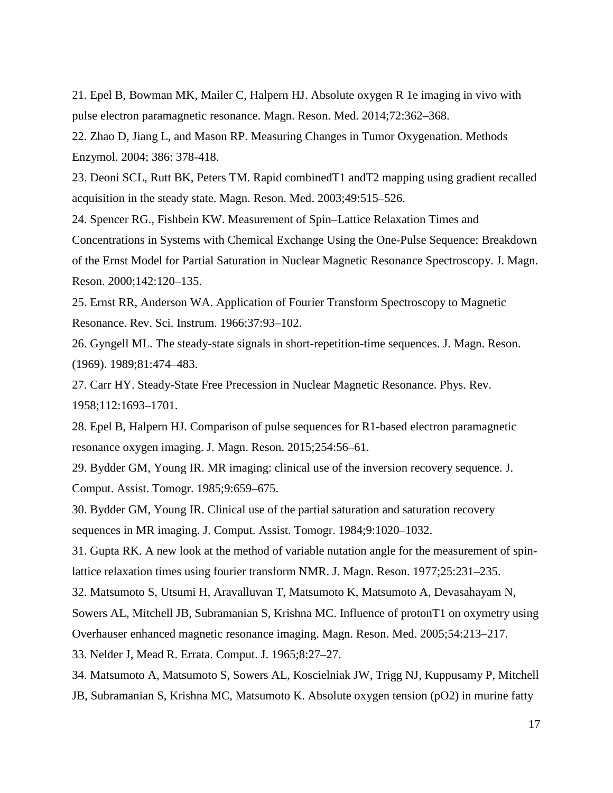21. Epel B, Bowman MK, Mailer C, Halpern HJ. Absolute oxygen R 1e imaging in vivo with pulse electron paramagnetic resonance. Magn. Reson. Med. 2014;72:362–368.

22. Zhao D, Jiang L, and Mason RP. Measuring Changes in Tumor Oxygenation. Methods Enzymol. 2004; 386: 378-418.

23. Deoni SCL, Rutt BK, Peters TM. Rapid combinedT1 andT2 mapping using gradient recalled acquisition in the steady state. Magn. Reson. Med. 2003;49:515–526.

24. Spencer RG., Fishbein KW. Measurement of Spin–Lattice Relaxation Times and Concentrations in Systems with Chemical Exchange Using the One-Pulse Sequence: Breakdown of the Ernst Model for Partial Saturation in Nuclear Magnetic Resonance Spectroscopy. J. Magn. Reson. 2000;142:120–135.

25. Ernst RR, Anderson WA. Application of Fourier Transform Spectroscopy to Magnetic Resonance. Rev. Sci. Instrum. 1966;37:93–102.

26. Gyngell ML. The steady-state signals in short-repetition-time sequences. J. Magn. Reson. (1969). 1989;81:474–483.

27. Carr HY. Steady-State Free Precession in Nuclear Magnetic Resonance. Phys. Rev. 1958;112:1693–1701.

28. Epel B, Halpern HJ. Comparison of pulse sequences for R1-based electron paramagnetic resonance oxygen imaging. J. Magn. Reson. 2015;254:56–61.

29. Bydder GM, Young IR. MR imaging: clinical use of the inversion recovery sequence. J. Comput. Assist. Tomogr. 1985;9:659–675.

30. Bydder GM, Young IR. Clinical use of the partial saturation and saturation recovery sequences in MR imaging. J. Comput. Assist. Tomogr. 1984;9:1020–1032.

31. Gupta RK. A new look at the method of variable nutation angle for the measurement of spinlattice relaxation times using fourier transform NMR. J. Magn. Reson. 1977;25:231–235.

32. Matsumoto S, Utsumi H, Aravalluvan T, Matsumoto K, Matsumoto A, Devasahayam N,

Sowers AL, Mitchell JB, Subramanian S, Krishna MC. Influence of protonT1 on oxymetry using

Overhauser enhanced magnetic resonance imaging. Magn. Reson. Med. 2005;54:213–217.

33. Nelder J, Mead R. Errata. Comput. J. 1965;8:27–27.

34. Matsumoto A, Matsumoto S, Sowers AL, Koscielniak JW, Trigg NJ, Kuppusamy P, Mitchell

JB, Subramanian S, Krishna MC, Matsumoto K. Absolute oxygen tension (pO2) in murine fatty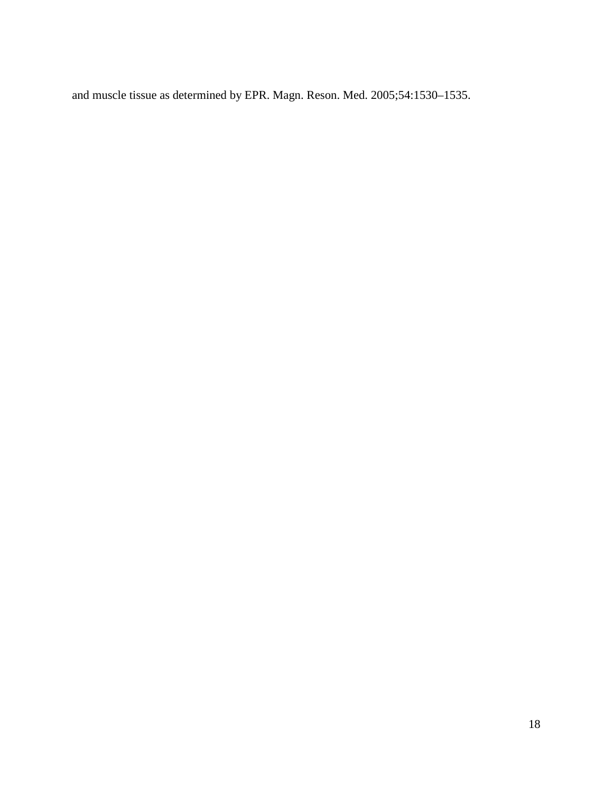and muscle tissue as determined by EPR. Magn. Reson. Med. 2005;54:1530–1535.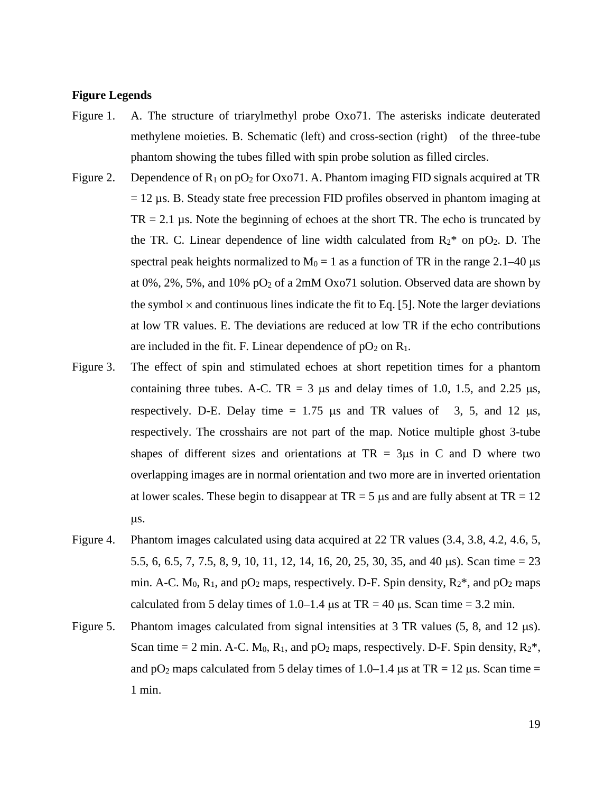#### **Figure Legends**

- Figure 1. A. The structure of triarylmethyl probe Oxo71. The asterisks indicate deuterated methylene moieties. B. Schematic (left) and cross-section (right) of the three-tube phantom showing the tubes filled with spin probe solution as filled circles.
- Figure 2. Dependence of  $R_1$  on  $pO_2$  for Oxo71. A. Phantom imaging FID signals acquired at TR  $= 12 \mu s$ . B. Steady state free precession FID profiles observed in phantom imaging at  $TR = 2.1 \,\mu s$ . Note the beginning of echoes at the short TR. The echo is truncated by the TR. C. Linear dependence of line width calculated from  $R_2^*$  on pO<sub>2</sub>. D. The spectral peak heights normalized to  $M_0 = 1$  as a function of TR in the range 2.1–40 µs at  $0\%, 2\%, 5\%,$  and  $10\%$  pO<sub>2</sub> of a 2mM Oxo71 solution. Observed data are shown by the symbol  $\times$  and continuous lines indicate the fit to Eq. [5]. Note the larger deviations at low TR values. E. The deviations are reduced at low TR if the echo contributions are included in the fit. F. Linear dependence of  $pO_2$  on  $R_1$ .
- Figure 3. The effect of spin and stimulated echoes at short repetition times for a phantom containing three tubes. A-C. TR = 3  $\mu$ s and delay times of 1.0, 1.5, and 2.25  $\mu$ s, respectively. D-E. Delay time  $= 1.75$  µs and TR values of 3, 5, and 12 µs, respectively. The crosshairs are not part of the map. Notice multiple ghost 3-tube shapes of different sizes and orientations at  $TR = 3\mu s$  in C and D where two overlapping images are in normal orientation and two more are in inverted orientation at lower scales. These begin to disappear at  $TR = 5$  us and are fully absent at  $TR = 12$ µs.
- Figure 4. Phantom images calculated using data acquired at 22 TR values (3.4, 3.8, 4.2, 4.6, 5, 5.5, 6, 6.5, 7, 7.5, 8, 9, 10, 11, 12, 14, 16, 20, 25, 30, 35, and 40 µs). Scan time = 23 min. A-C.  $M_0$ ,  $R_1$ , and  $pO_2$  maps, respectively. D-F. Spin density,  $R_2^*$ , and  $pO_2$  maps calculated from 5 delay times of 1.0–1.4  $\mu$ s at TR = 40  $\mu$ s. Scan time = 3.2 min.
- Figure 5. Phantom images calculated from signal intensities at 3 TR values (5, 8, and 12  $\mu$ s). Scan time = 2 min. A-C.  $M_0$ ,  $R_1$ , and  $pO_2$  maps, respectively. D-F. Spin density,  $R_2^*$ , and  $pO_2$  maps calculated from 5 delay times of 1.0–1.4 µs at TR = 12 µs. Scan time = 1 min.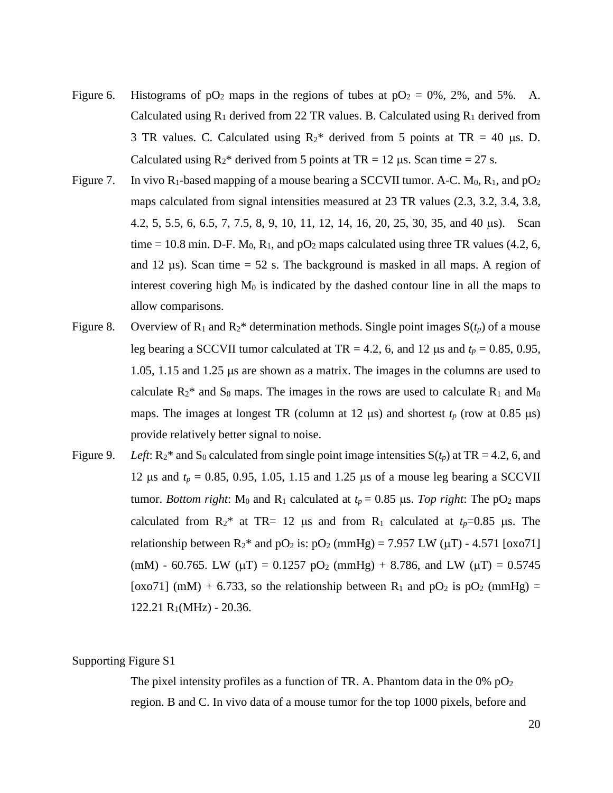- Figure 6. Histograms of  $pO_2$  maps in the regions of tubes at  $pO_2 = 0\%$ , 2%, and 5%. A. Calculated using  $R_1$  derived from 22 TR values. B. Calculated using  $R_1$  derived from 3 TR values. C. Calculated using  $R_2^*$  derived from 5 points at TR = 40 µs. D. Calculated using  $R_2^*$  derived from 5 points at TR = 12 µs. Scan time = 27 s.
- Figure 7. In vivo  $R_1$ -based mapping of a mouse bearing a SCCVII tumor. A-C.  $M_0$ ,  $R_1$ , and  $pO_2$ maps calculated from signal intensities measured at 23 TR values (2.3, 3.2, 3.4, 3.8, 4.2, 5, 5.5, 6, 6.5, 7, 7.5, 8, 9, 10, 11, 12, 14, 16, 20, 25, 30, 35, and 40 µs). Scan time = 10.8 min. D-F.  $M_0$ ,  $R_1$ , and  $pO_2$  maps calculated using three TR values (4.2, 6, and 12  $\mu$ s). Scan time = 52 s. The background is masked in all maps. A region of interest covering high  $M_0$  is indicated by the dashed contour line in all the maps to allow comparisons.
- Figure 8. Overview of  $R_1$  and  $R_2^*$  determination methods. Single point images  $S(t_p)$  of a mouse leg bearing a SCCVII tumor calculated at TR = 4.2, 6, and 12  $\mu$ s and  $t_p = 0.85, 0.95$ , 1.05, 1.15 and 1.25 µs are shown as a matrix. The images in the columns are used to calculate  $R_2^*$  and  $S_0$  maps. The images in the rows are used to calculate  $R_1$  and  $M_0$ maps. The images at longest TR (column at 12  $\mu$ s) and shortest  $t_p$  (row at 0.85  $\mu$ s) provide relatively better signal to noise.
- Figure 9. *Left*:  $R_2^*$  and  $S_0$  calculated from single point image intensities  $S(t_p)$  at TR = 4.2, 6, and 12  $\mu$ s and  $t_p = 0.85, 0.95, 1.05, 1.15$  and 1.25  $\mu$ s of a mouse leg bearing a SCCVII tumor. *Bottom right*: M<sub>0</sub> and R<sub>1</sub> calculated at  $t_p = 0.85$  µs. *Top right*: The pO<sub>2</sub> maps calculated from  $R_2^*$  at TR= 12 µs and from  $R_1$  calculated at  $t_p=0.85$  µs. The relationship between  $R_2^*$  and  $pO_2$  is:  $pO_2$  (mmHg) = 7.957 LW ( $\mu$ T) - 4.571 [ $\alpha$ xo71] (mM) - 60.765. LW ( $\mu$ T) = 0.1257 pO<sub>2</sub> (mmHg) + 8.786, and LW ( $\mu$ T) = 0.5745 [oxo71] (mM) + 6.733, so the relationship between  $R_1$  and  $pO_2$  is  $pO_2$  (mmHg) =  $122.21 R<sub>1</sub>(MHz) - 20.36.$

## Supporting Figure S1

The pixel intensity profiles as a function of TR. A. Phantom data in the  $0\%$  pO<sub>2</sub> region. B and C. In vivo data of a mouse tumor for the top 1000 pixels, before and